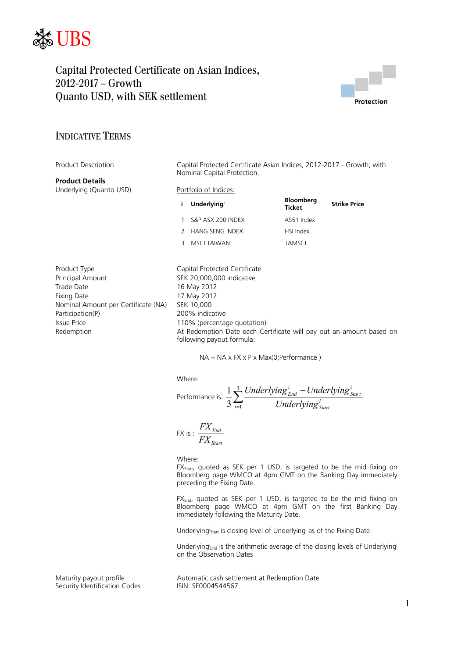



## INDICATIVE TERMS

| <b>Product Description</b>                                                                                                                                          | Capital Protected Certificate Asian Indices, 2012-2017 - Growth; with<br>Nominal Capital Protection. |                                                                                                                                                                                                                                                                                                                         |                                   |                     |  |
|---------------------------------------------------------------------------------------------------------------------------------------------------------------------|------------------------------------------------------------------------------------------------------|-------------------------------------------------------------------------------------------------------------------------------------------------------------------------------------------------------------------------------------------------------------------------------------------------------------------------|-----------------------------------|---------------------|--|
| <b>Product Details</b>                                                                                                                                              |                                                                                                      |                                                                                                                                                                                                                                                                                                                         |                                   |                     |  |
| Underlying (Quanto USD)                                                                                                                                             | Portfolio of Indices:                                                                                |                                                                                                                                                                                                                                                                                                                         |                                   |                     |  |
|                                                                                                                                                                     | i                                                                                                    | <b>Underlying</b>                                                                                                                                                                                                                                                                                                       | <b>Bloomberg</b><br><b>Ticket</b> | <b>Strike Price</b> |  |
|                                                                                                                                                                     |                                                                                                      | S&P ASX 200 INDEX                                                                                                                                                                                                                                                                                                       | AS51 Index                        |                     |  |
|                                                                                                                                                                     | 2                                                                                                    | <b>HANG SENG INDEX</b>                                                                                                                                                                                                                                                                                                  | HSI Index                         |                     |  |
|                                                                                                                                                                     | 3                                                                                                    | <b>MSCI TAIWAN</b>                                                                                                                                                                                                                                                                                                      | <b>TAMSCI</b>                     |                     |  |
| Product Type<br>Principal Amount<br>Trade Date<br><b>Fixing Date</b><br>Nominal Amount per Certificate (NA)<br>Participation(P)<br><b>Issue Price</b><br>Redemption |                                                                                                      | Capital Protected Certificate<br>SEK 20,000,000 indicative<br>16 May 2012<br>17 May 2012<br>SEK 10,000<br>200% indicative<br>110% (percentage quotation)<br>At Redemption Date each Certificate will pay out an amount based on<br>following payout formula:<br>$NA + NA \times FX \times P \times Max(O; Performance)$ |                                   |                     |  |
|                                                                                                                                                                     |                                                                                                      | Where:<br>Performance is: $\frac{1}{3}\sum_{i=1}^{3}\frac{Underlying_{End}^{i} - Underlying_{Start}^{i}}{Underlying_{start}^{i}}$                                                                                                                                                                                       |                                   |                     |  |
|                                                                                                                                                                     |                                                                                                      | FX is : $\frac{FX_{End}}{FX_{start}}$                                                                                                                                                                                                                                                                                   |                                   |                     |  |

Where:

 $FX_{\text{Start}}$ , quoted as SEK per 1 USD, is targeted to be the mid fixing on Bloomberg page WMCO at 4pm GMT on the Banking Day immediately preceding the Fixing Date.

FX<sub>End</sub>, quoted as SEK per 1 USD, is targeted to be the mid fixing on Bloomberg page WMCO at 4pm GMT on the first Banking Day immediately following the Maturity Date.

Underlyingi<sub>start</sub> is closing level of Underlyingi as of the Fixing Date.

Underlying<sup>i</sup><sub>End</sub> is the arithmetic average of the closing levels of Underlying<sup>i</sup> on the Observation Dates

Security Identification Codes

Maturity payout profile <br>
Security Identification Codes 
Security Identification Codes

Automatic cash settlement at Redemption Date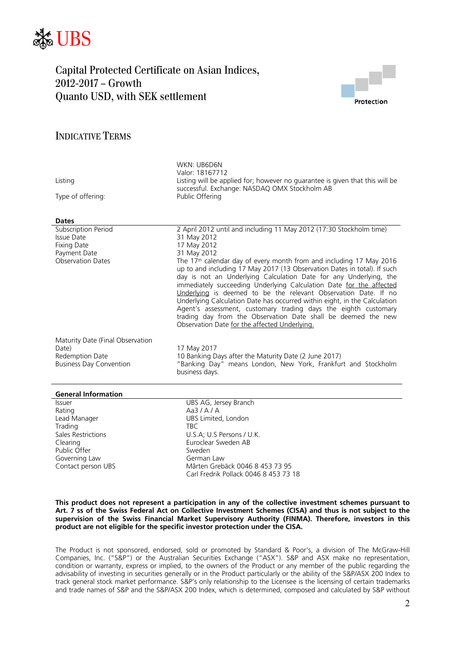



## INDICATIVE TERMS

| Listing<br>Type of offering:<br><b>Dates</b>      | WKN: UB6D6N<br>Valor: 18167712<br>Listing will be applied for; however no guarantee is given that this will be<br>successful. Exchange: NASDAQ OMX Stockholm AB<br>Public Offering                                                                                                                                                                                                                                                                                                                                                                                                                                                                          |
|---------------------------------------------------|-------------------------------------------------------------------------------------------------------------------------------------------------------------------------------------------------------------------------------------------------------------------------------------------------------------------------------------------------------------------------------------------------------------------------------------------------------------------------------------------------------------------------------------------------------------------------------------------------------------------------------------------------------------|
| Subscription Period                               | 2 April 2012 until and including 11 May 2012 (17:30 Stockholm time)                                                                                                                                                                                                                                                                                                                                                                                                                                                                                                                                                                                         |
| Issue Date                                        | 31 May 2012                                                                                                                                                                                                                                                                                                                                                                                                                                                                                                                                                                                                                                                 |
| <b>Fixing Date</b>                                | 17 May 2012                                                                                                                                                                                                                                                                                                                                                                                                                                                                                                                                                                                                                                                 |
| Payment Date<br><b>Observation Dates</b>          | 31 May 2012<br>The 17 <sup>th</sup> calendar day of every month from and including 17 May 2016<br>up to and including 17 May 2017 (13 Observation Dates in total). If such<br>day is not an Underlying Calculation Date for any Underlying, the<br>immediately succeeding Underlying Calculation Date for the affected<br>Underlying is deemed to be the relevant Observation Date. If no<br>Underlying Calculation Date has occurred within eight, in the Calculation<br>Agent's assessment, customary trading days the eighth customary<br>trading day from the Observation Date shall be deemed the new<br>Observation Date for the affected Underlying. |
| Maturity Date (Final Observation                  |                                                                                                                                                                                                                                                                                                                                                                                                                                                                                                                                                                                                                                                             |
| Date)                                             | 17 May 2017                                                                                                                                                                                                                                                                                                                                                                                                                                                                                                                                                                                                                                                 |
| Redemption Date<br><b>Business Day Convention</b> | 10 Banking Days after the Maturity Date (2 June 2017)<br>"Banking Day" means London, New York, Frankfurt and Stockholm<br>business days.                                                                                                                                                                                                                                                                                                                                                                                                                                                                                                                    |
| <b>General Information</b>                        |                                                                                                                                                                                                                                                                                                                                                                                                                                                                                                                                                                                                                                                             |
| <b>Issuer</b>                                     | UBS AG, Jersey Branch                                                                                                                                                                                                                                                                                                                                                                                                                                                                                                                                                                                                                                       |
| Rating                                            | Aa3/A/A                                                                                                                                                                                                                                                                                                                                                                                                                                                                                                                                                                                                                                                     |
| Lead Manager                                      | UBS Limited, London                                                                                                                                                                                                                                                                                                                                                                                                                                                                                                                                                                                                                                         |
| Trading                                           | <b>TBC</b>                                                                                                                                                                                                                                                                                                                                                                                                                                                                                                                                                                                                                                                  |

Public Offer<br>Governing Law Sweden<br>German Law Governing Law<br>Contact person UBS

Sales Restrictions **Example 20** U.S.A: U.S Persons / U.K. Clearing Clearing Euroclear Sweden AB<br>
Public Offer Clearing Sweden Sweden Mårten Grebäck 0046 8 453 73 95 Carl Fredrik Pollack 0046 8 453 73 18

#### **This product does not represent a participation in any of the collective investment schemes pursuant to Art. 7 ss of the Swiss Federal Act on Collective Investment Schemes (CISA) and thus is not subject to the supervision of the Swiss Financial Market Supervisory Authority (FINMA). Therefore, investors in this product are not eligible for the specific investor protection under the CISA.**

The Product is not sponsored, endorsed, sold or promoted by Standard & Poor's, a division of The McGraw-Hill Companies, Inc. ("S&P") or the Australian Securities Exchange ("ASX"). S&P and ASX make no representation, condition or warranty, express or implied, to the owners of the Product or any member of the public regarding the advisability of investing in securities generally or in the Product particularly or the ability of the S&P/ASX 200 Index to track general stock market performance. S&P's only relationship to the Licensee is the licensing of certain trademarks and trade names of S&P and the S&P/ASX 200 Index, which is determined, composed and calculated by S&P without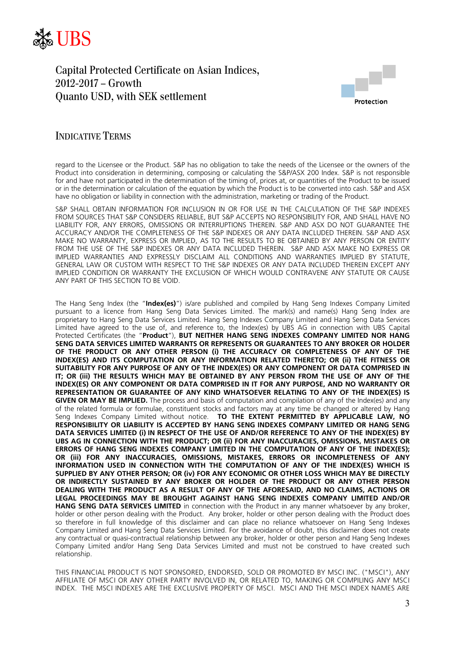



### INDICATIVE TERMS

regard to the Licensee or the Product. S&P has no obligation to take the needs of the Licensee or the owners of the Product into consideration in determining, composing or calculating the S&P/ASX 200 Index. S&P is not responsible for and have not participated in the determination of the timing of, prices at, or quantities of the Product to be issued or in the determination or calculation of the equation by which the Product is to be converted into cash. S&P and ASX have no obligation or liability in connection with the administration, marketing or trading of the Product.

S&P SHALL OBTAIN INFORMATION FOR INCLUSION IN OR FOR USE IN THE CALCULATION OF THE S&P INDEXES FROM SOURCES THAT S&P CONSIDERS RELIABLE, BUT S&P ACCEPTS NO RESPONSIBILITY FOR, AND SHALL HAVE NO LIABILITY FOR, ANY ERRORS, OMISSIONS OR INTERRUPTIONS THEREIN. S&P AND ASX DO NOT GUARANTEE THE ACCURACY AND/OR THE COMPLETENESS OF THE S&P INDEXES OR ANY DATA INCLUDED THEREIN. S&P AND ASX MAKE NO WARRANTY, EXPRESS OR IMPLIED, AS TO THE RESULTS TO BE OBTAINED BY ANY PERSON OR ENTITY FROM THE USE OF THE S&P INDEXES OR ANY DATA INCLUDED THEREIN. S&P AND ASX MAKE NO EXPRESS OR IMPLIED WARRANTIES AND EXPRESSLY DISCLAIM ALL CONDITIONS AND WARRANTIES IMPLIED BY STATUTE, GENERAL LAW OR CUSTOM WITH RESPECT TO THE S&P INDEXES OR ANY DATA INCLUDED THEREIN EXCEPT ANY IMPLIED CONDITION OR WARRANTY THE EXCLUSION OF WHICH WOULD CONTRAVENE ANY STATUTE OR CAUSE ANY PART OF THIS SECTION TO BE VOID.

The Hang Seng Index (the "**Index(es)**") is/are published and compiled by Hang Seng Indexes Company Limited pursuant to a licence from Hang Seng Data Services Limited. The mark(s) and name(s) Hang Seng Index are proprietary to Hang Seng Data Services Limited. Hang Seng Indexes Company Limited and Hang Seng Data Services Limited have agreed to the use of, and reference to, the Index(es) by UBS AG in connection with UBS Capital Protected Certificates (the "**Product**"), **BUT NEITHER HANG SENG INDEXES COMPANY LIMITED NOR HANG SENG DATA SERVICES LIMITED WARRANTS OR REPRESENTS OR GUARANTEES TO ANY BROKER OR HOLDER OF THE PRODUCT OR ANY OTHER PERSON (i) THE ACCURACY OR COMPLETENESS OF ANY OF THE INDEX(ES) AND ITS COMPUTATION OR ANY INFORMATION RELATED THERETO; OR (ii) THE FITNESS OR SUITABILITY FOR ANY PURPOSE OF ANY OF THE INDEX(ES) OR ANY COMPONENT OR DATA COMPRISED IN IT; OR (iii) THE RESULTS WHICH MAY BE OBTAINED BY ANY PERSON FROM THE USE OF ANY OF THE INDEX(ES) OR ANY COMPONENT OR DATA COMPRISED IN IT FOR ANY PURPOSE, AND NO WARRANTY OR REPRESENTATION OR GUARANTEE OF ANY KIND WHATSOEVER RELATING TO ANY OF THE INDEX(ES) IS GIVEN OR MAY BE IMPLIED.** The process and basis of computation and compilation of any of the Index(es) and any of the related formula or formulae, constituent stocks and factors may at any time be changed or altered by Hang Seng Indexes Company Limited without notice. **TO THE EXTENT PERMITTED BY APPLICABLE LAW, NO RESPONSIBILITY OR LIABILITY IS ACCEPTED BY HANG SENG INDEXES COMPANY LIMITED OR HANG SENG DATA SERVICES LIMITED (i) IN RESPECT OF THE USE OF AND/OR REFERENCE TO ANY OF THE INDEX(ES) BY UBS AG IN CONNECTION WITH THE PRODUCT; OR (ii) FOR ANY INACCURACIES, OMISSIONS, MISTAKES OR ERRORS OF HANG SENG INDEXES COMPANY LIMITED IN THE COMPUTATION OF ANY OF THE INDEX(ES); OR (iii) FOR ANY INACCURACIES, OMISSIONS, MISTAKES, ERRORS OR INCOMPLETENESS OF ANY INFORMATION USED IN CONNECTION WITH THE COMPUTATION OF ANY OF THE INDEX(ES) WHICH IS SUPPLIED BY ANY OTHER PERSON; OR (iv) FOR ANY ECONOMIC OR OTHER LOSS WHICH MAY BE DIRECTLY OR INDIRECTLY SUSTAINED BY ANY BROKER OR HOLDER OF THE PRODUCT OR ANY OTHER PERSON DEALING WITH THE PRODUCT AS A RESULT OF ANY OF THE AFORESAID, AND NO CLAIMS, ACTIONS OR LEGAL PROCEEDINGS MAY BE BROUGHT AGAINST HANG SENG INDEXES COMPANY LIMITED AND/OR HANG SENG DATA SERVICES LIMITED** in connection with the Product in any manner whatsoever by any broker, holder or other person dealing with the Product. Any broker, holder or other person dealing with the Product does so therefore in full knowledge of this disclaimer and can place no reliance whatsoever on Hang Seng Indexes Company Limited and Hang Seng Data Services Limited. For the avoidance of doubt, this disclaimer does not create any contractual or quasi-contractual relationship between any broker, holder or other person and Hang Seng Indexes Company Limited and/or Hang Seng Data Services Limited and must not be construed to have created such relationship.

THIS FINANCIAL PRODUCT IS NOT SPONSORED, ENDORSED, SOLD OR PROMOTED BY MSCI INC. ("MSCI"), ANY AFFILIATE OF MSCI OR ANY OTHER PARTY INVOLVED IN, OR RELATED TO, MAKING OR COMPILING ANY MSCI INDEX. THE MSCI INDEXES ARE THE EXCLUSIVE PROPERTY OF MSCI. MSCI AND THE MSCI INDEX NAMES ARE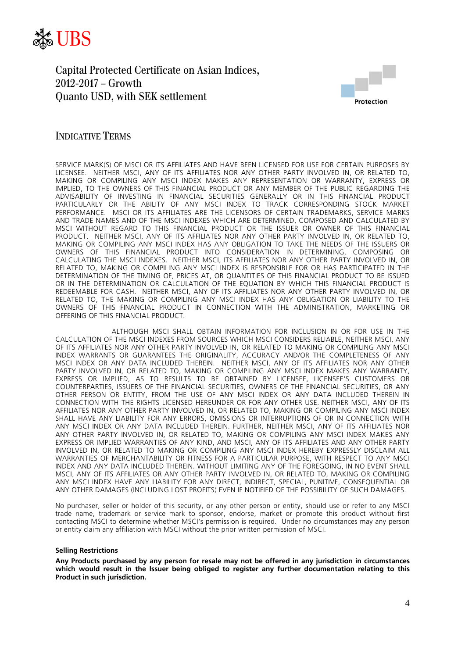



### INDICATIVE TERMS

SERVICE MARK(S) OF MSCI OR ITS AFFILIATES AND HAVE BEEN LICENSED FOR USE FOR CERTAIN PURPOSES BY LICENSEE. NEITHER MSCI, ANY OF ITS AFFILIATES NOR ANY OTHER PARTY INVOLVED IN, OR RELATED TO, MAKING OR COMPILING ANY MSCI INDEX MAKES ANY REPRESENTATION OR WARRANTY, EXPRESS OR IMPLIED, TO THE OWNERS OF THIS FINANCIAL PRODUCT OR ANY MEMBER OF THE PUBLIC REGARDING THE ADVISABILITY OF INVESTING IN FINANCIAL SECURITIES GENERALLY OR IN THIS FINANCIAL PRODUCT PARTICULARLY OR THE ABILITY OF ANY MSCI INDEX TO TRACK CORRESPONDING STOCK MARKET PERFORMANCE. MSCI OR ITS AFFILIATES ARE THE LICENSORS OF CERTAIN TRADEMARKS, SERVICE MARKS AND TRADE NAMES AND OF THE MSCI INDEXES WHICH ARE DETERMINED, COMPOSED AND CALCULATED BY MSCI WITHOUT REGARD TO THIS FINANCIAL PRODUCT OR THE ISSUER OR OWNER OF THIS FINANCIAL PRODUCT. NEITHER MSCI, ANY OF ITS AFFILIATES NOR ANY OTHER PARTY INVOLVED IN, OR RELATED TO, MAKING OR COMPILING ANY MSCI INDEX HAS ANY OBLIGATION TO TAKE THE NEEDS OF THE ISSUERS OR OWNERS OF THIS FINANCIAL PRODUCT INTO CONSIDERATION IN DETERMINING, COMPOSING OR CALCULATING THE MSCI INDEXES. NEITHER MSCI, ITS AFFILIATES NOR ANY OTHER PARTY INVOLVED IN, OR RELATED TO, MAKING OR COMPILING ANY MSCI INDEX IS RESPONSIBLE FOR OR HAS PARTICIPATED IN THE DETERMINATION OF THE TIMING OF, PRICES AT, OR QUANTITIES OF THIS FINANCIAL PRODUCT TO BE ISSUED OR IN THE DETERMINATION OR CALCULATION OF THE EQUATION BY WHICH THIS FINANCIAL PRODUCT IS REDEEMABLE FOR CASH. NEITHER MSCI, ANY OF ITS AFFILIATES NOR ANY OTHER PARTY INVOLVED IN, OR RELATED TO, THE MAKING OR COMPILING ANY MSCI INDEX HAS ANY OBLIGATION OR LIABILITY TO THE OWNERS OF THIS FINANCIAL PRODUCT IN CONNECTION WITH THE ADMINISTRATION, MARKETING OR OFFERING OF THIS FINANCIAL PRODUCT.

 ALTHOUGH MSCI SHALL OBTAIN INFORMATION FOR INCLUSION IN OR FOR USE IN THE CALCULATION OF THE MSCI INDEXES FROM SOURCES WHICH MSCI CONSIDERS RELIABLE, NEITHER MSCI, ANY OF ITS AFFILIATES NOR ANY OTHER PARTY INVOLVED IN, OR RELATED TO MAKING OR COMPILING ANY MSCI INDEX WARRANTS OR GUARANTEES THE ORIGINALITY, ACCURACY AND/OR THE COMPLETENESS OF ANY MSCI INDEX OR ANY DATA INCLUDED THEREIN. NEITHER MSCI, ANY OF ITS AFFILIATES NOR ANY OTHER PARTY INVOLVED IN, OR RELATED TO, MAKING OR COMPILING ANY MSCI INDEX MAKES ANY WARRANTY, EXPRESS OR IMPLIED, AS TO RESULTS TO BE OBTAINED BY LICENSEE, LICENSEE'S CUSTOMERS OR COUNTERPARTIES, ISSUERS OF THE FINANCIAL SECURITIES, OWNERS OF THE FINANCIAL SECURITIES, OR ANY OTHER PERSON OR ENTITY, FROM THE USE OF ANY MSCI INDEX OR ANY DATA INCLUDED THEREIN IN CONNECTION WITH THE RIGHTS LICENSED HEREUNDER OR FOR ANY OTHER USE. NEITHER MSCI, ANY OF ITS AFFILIATES NOR ANY OTHER PARTY INVOLVED IN, OR RELATED TO, MAKING OR COMPILING ANY MSCI INDEX SHALL HAVE ANY LIABILITY FOR ANY ERRORS, OMISSIONS OR INTERRUPTIONS OF OR IN CONNECTION WITH ANY MSCI INDEX OR ANY DATA INCLUDED THEREIN. FURTHER, NEITHER MSCI, ANY OF ITS AFFILIATES NOR ANY OTHER PARTY INVOLVED IN, OR RELATED TO, MAKING OR COMPILING ANY MSCI INDEX MAKES ANY EXPRESS OR IMPLIED WARRANTIES OF ANY KIND, AND MSCI, ANY OF ITS AFFILIATES AND ANY OTHER PARTY INVOLVED IN, OR RELATED TO MAKING OR COMPILING ANY MSCI INDEX HEREBY EXPRESSLY DISCLAIM ALL WARRANTIES OF MERCHANTABILITY OR FITNESS FOR A PARTICULAR PURPOSE, WITH RESPECT TO ANY MSCI INDEX AND ANY DATA INCLUDED THEREIN. WITHOUT LIMITING ANY OF THE FOREGOING, IN NO EVENT SHALL MSCI, ANY OF ITS AFFILIATES OR ANY OTHER PARTY INVOLVED IN, OR RELATED TO, MAKING OR COMPILING ANY MSCI INDEX HAVE ANY LIABILITY FOR ANY DIRECT, INDIRECT, SPECIAL, PUNITIVE, CONSEQUENTIAL OR ANY OTHER DAMAGES (INCLUDING LOST PROFITS) EVEN IF NOTIFIED OF THE POSSIBILITY OF SUCH DAMAGES.

No purchaser, seller or holder of this security, or any other person or entity, should use or refer to any MSCI trade name, trademark or service mark to sponsor, endorse, market or promote this product without first contacting MSCI to determine whether MSCI's permission is required. Under no circumstances may any person or entity claim any affiliation with MSCI without the prior written permission of MSCI.

#### **Selling Restrictions**

**Any Products purchased by any person for resale may not be offered in any jurisdiction in circumstances which would result in the Issuer being obliged to register any further documentation relating to this Product in such jurisdiction.**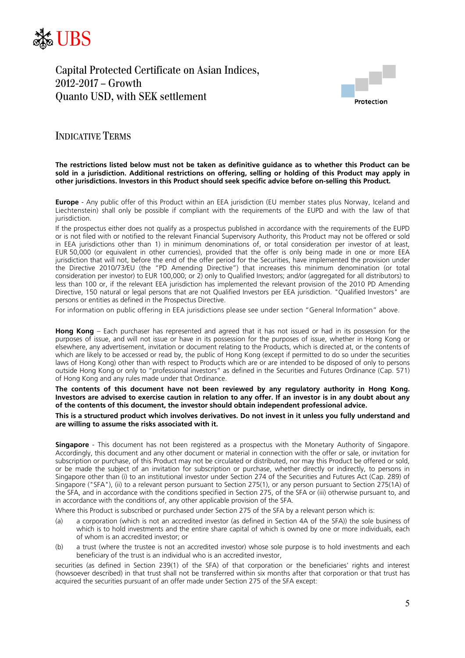



### INDICATIVE TERMS

#### **The restrictions listed below must not be taken as definitive guidance as to whether this Product can be sold in a jurisdiction. Additional restrictions on offering, selling or holding of this Product may apply in other jurisdictions. Investors in this Product should seek specific advice before on-selling this Product.**

**Europe** - Any public offer of this Product within an EEA jurisdiction (EU member states plus Norway, Iceland and Liechtenstein) shall only be possible if compliant with the requirements of the EUPD and with the law of that iurisdiction.

If the prospectus either does not qualify as a prospectus published in accordance with the requirements of the EUPD or is not filed with or notified to the relevant Financial Supervisory Authority, this Product may not be offered or sold in EEA jurisdictions other than 1) in minimum denominations of, or total consideration per investor of at least, EUR 50,000 (or equivalent in other currencies), provided that the offer is only being made in one or more EEA jurisdiction that will not, before the end of the offer period for the Securities, have implemented the provision under the Directive 2010/73/EU (the "PD Amending Directive") that increases this minimum denomination (or total consideration per investor) to EUR 100,000; or 2) only to Qualified Investors; and/or (aggregated for all distributors) to less than 100 or, if the relevant EEA jurisdiction has implemented the relevant provision of the 2010 PD Amending Directive, 150 natural or legal persons that are not Qualified Investors per EEA jurisdiction. "Qualified Investors" are persons or entities as defined in the Prospectus Directive.

For information on public offering in EEA jurisdictions please see under section "General Information" above.

**Hong Kong** – Each purchaser has represented and agreed that it has not issued or had in its possession for the purposes of issue, and will not issue or have in its possession for the purposes of issue, whether in Hong Kong or elsewhere, any advertisement, invitation or document relating to the Products, which is directed at, or the contents of which are likely to be accessed or read by, the public of Hong Kong (except if permitted to do so under the securities laws of Hong Kong) other than with respect to Products which are or are intended to be disposed of only to persons outside Hong Kong or only to "professional investors" as defined in the Securities and Futures Ordinance (Cap. 571) of Hong Kong and any rules made under that Ordinance.

#### **The contents of this document have not been reviewed by any regulatory authority in Hong Kong. Investors are advised to exercise caution in relation to any offer. If an investor is in any doubt about any of the contents of this document, the investor should obtain independent professional advice.**

#### **This is a structured product which involves derivatives. Do not invest in it unless you fully understand and are willing to assume the risks associated with it.**

**Singapore** - This document has not been registered as a prospectus with the Monetary Authority of Singapore. Accordingly, this document and any other document or material in connection with the offer or sale, or invitation for subscription or purchase, of this Product may not be circulated or distributed, nor may this Product be offered or sold, or be made the subject of an invitation for subscription or purchase, whether directly or indirectly, to persons in Singapore other than (i) to an institutional investor under Section 274 of the Securities and Futures Act (Cap. 289) of Singapore ("SFA"), (ii) to a relevant person pursuant to Section 275(1), or any person pursuant to Section 275(1A) of the SFA, and in accordance with the conditions specified in Section 275, of the SFA or (iii) otherwise pursuant to, and in accordance with the conditions of, any other applicable provision of the SFA.

Where this Product is subscribed or purchased under Section 275 of the SFA by a relevant person which is:

- (a) a corporation (which is not an accredited investor (as defined in Section 4A of the SFA)) the sole business of which is to hold investments and the entire share capital of which is owned by one or more individuals, each of whom is an accredited investor; or
- (b) a trust (where the trustee is not an accredited investor) whose sole purpose is to hold investments and each beneficiary of the trust is an individual who is an accredited investor,

securities (as defined in Section 239(1) of the SFA) of that corporation or the beneficiaries' rights and interest (howsoever described) in that trust shall not be transferred within six months after that corporation or that trust has acquired the securities pursuant of an offer made under Section 275 of the SFA except: